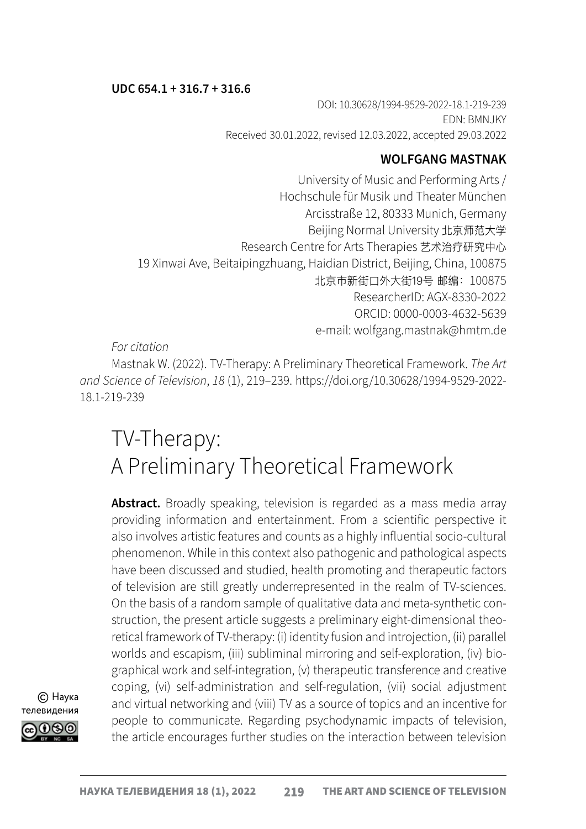#### UDC 654.1 + 316.7 + 316.6

DOI: 10.30628/1994-9529-2022-18.1-219-239 EDN: BMNJKY Received 30.01.2022, revised 12.03.2022, accepted 29.03.2022

## WOLFGANG MASTNAK

University of Music and Performing Arts / Hochschule für Musik und Theater München Arcisstraße 12, 80333 Munich, Germany Beijing Normal University 北京师范大学 Research Centre for Arts Therapies 艺术治疗研究中心 19 Xinwai Ave, Beitaipingzhuang, Haidian District, Beijing, China, 100875 北京市新街口外大街19号 邮编:100875 ResearcherID: [AGX-8330-2022](https://publons.com/researcher/5135339/wolfgang-mastnak/) ORCID: [0000-0003-4632-5639](https://orcid.org/orcid-search/search?searchQuery=0000-0003-4632-5639) e-mail: wolfgang.mastnak@hmtm.de

*For citation*

Mastnak W. (2022). TV-Therapy: A Preliminary Theoretical Framework. *The Art and Science of Television*, *18* (1), 219–239. https://doi.org/10.30628/1994-9529-2022- 18.1-219-239

# TV-Therapy: A Preliminary Theoretical Framework

Abstract. Broadly speaking, television is regarded as a mass media array providing information and entertainment. From a scientific perspective it also involves artistic features and counts as a highly influential socio-cultural phenomenon. While in this context also pathogenic and pathological aspects have been discussed and studied, health promoting and therapeutic factors of television are still greatly underrepresented in the realm of TV-sciences. On the basis of a random sample of qualitative data and meta-synthetic construction, the present article suggests a preliminary eight-dimensional theoretical framework of TV-therapy: (i) identity fusion and introjection, (ii) parallel worlds and escapism, (iii) subliminal mirroring and self-exploration, (iv) biographical work and self-integration, (v) therapeutic transference and creative coping, (vi) self-administration and self-regulation, (vii) social adjustment and virtual networking and (viii) TV as a source of topics and an incentive for people to communicate. Regarding psychodynamic impacts of television, the article encourages further studies on the interaction between television

© Наука телевидения೧೧೧೧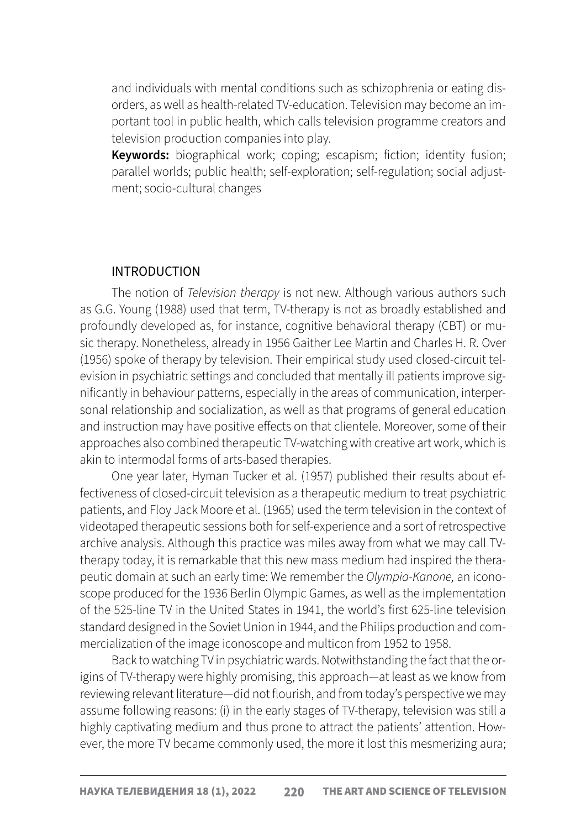and individuals with mental conditions such as schizophrenia or eating disorders, as well as health-related TV-education. Television may become an important tool in public health, which calls television programme creators and television production companies into play.

Keywords: biographical work; coping; escapism; fiction; identity fusion; parallel worlds; public health; self-exploration; self-regulation; social adjustment; socio-cultural changes

#### INTRODUCTION

The notion of *Television therapy* is not new. Although various authors such as G.G. Young (1988) used that term, TV-therapy is not as broadly established and profoundly developed as, for instance, cognitive behavioral therapy (CBT) or music therapy. Nonetheless, already in 1956 Gaither Lee Martin and Charles H. R. Over (1956) spoke of therapy by television. Their empirical study used closed-circuit television in psychiatric settings and concluded that mentally ill patients improve significantly in behaviour patterns, especially in the areas of communication, interpersonal relationship and socialization, as well as that programs of general education and instruction may have positive effects on that clientele. Moreover, some of their approaches also combined therapeutic TV-watching with creative art work, which is akin to intermodal forms of arts-based therapies.

One year later, Hyman Tucker et al. (1957) published their results about effectiveness of closed-circuit television as a therapeutic medium to treat psychiatric patients, and Floy Jack Moore et al. (1965) used the term television in the context of videotaped therapeutic sessions both for self-experience and a sort of retrospective archive analysis. Although this practice was miles away from what we may call TVtherapy today, it is remarkable that this new mass medium had inspired the therapeutic domain at such an early time: We remember the *Olympia-Kanone,* an iconoscope produced for the 1936 Berlin Olympic Games, as well as the implementation of the 525-line TV in the United States in 1941, the world's first 625-line television standard designed in the Soviet Union in 1944, and the Philips production and commercialization of the image iconoscope and multicon from 1952 to 1958.

Back to watching TV in psychiatric wards. Notwithstanding the fact that the origins of TV-therapy were highly promising, this approach—at least as we know from reviewing relevant literature—did not flourish, and from today's perspective we may assume following reasons: (i) in the early stages of TV-therapy, television was still a highly captivating medium and thus prone to attract the patients' attention. However, the more TV became commonly used, the more it lost this mesmerizing aura;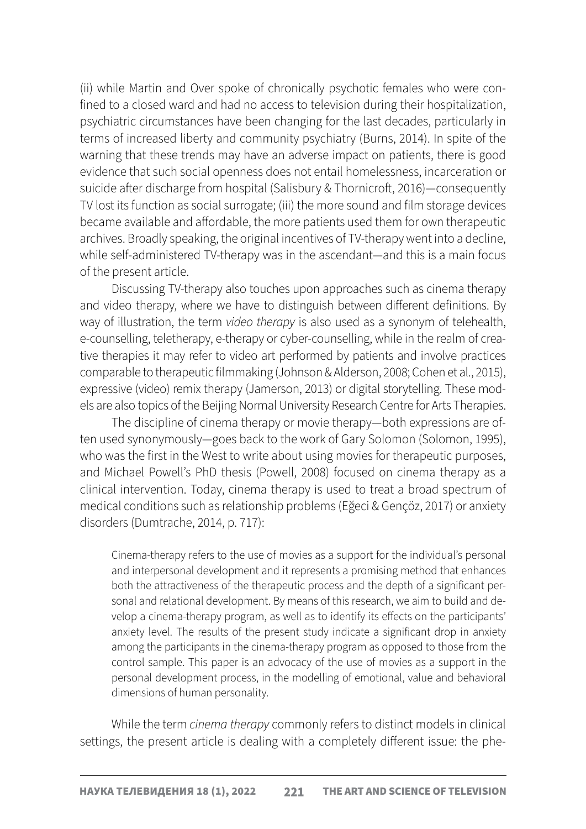(ii) while Martin and Over spoke of chronically psychotic females who were confined to a closed ward and had no access to television during their hospitalization, psychiatric circumstances have been changing for the last decades, particularly in terms of increased liberty and community psychiatry (Burns, 2014). In spite of the warning that these trends may have an adverse impact on patients, there is good evidence that such social openness does not entail homelessness, incarceration or suicide after discharge from hospital (Salisbury & Thornicroft, 2016)—consequently TV lost its function as social surrogate; (iii) the more sound and film storage devices became available and affordable, the more patients used them for own therapeutic archives. Broadly speaking, the original incentives of TV-therapy went into a decline, while self-administered TV-therapy was in the ascendant—and this is a main focus of the present article.

Discussing TV-therapy also touches upon approaches such as cinema therapy and video therapy, where we have to distinguish between different definitions. By way of illustration, the term *video therapy* is also used as a synonym of telehealth, e-counselling, teletherapy, e-therapy or cyber-counselling, while in the realm of creative therapies it may refer to video art performed by patients and involve practices comparable to therapeutic filmmaking (Johnson & Alderson, 2008; Cohen et al., 2015), expressive (video) remix therapy (Jamerson, 2013) or digital storytelling. These models are also topics of the Beijing Normal University Research Centre for Arts Therapies.

The discipline of cinema therapy or movie therapy—both expressions are often used synonymously—goes back to the work of Gary Solomon (Solomon, 1995), who was the first in the West to write about using movies for therapeutic purposes, and Michael Powell's PhD thesis (Powell, 2008) focused on cinema therapy as a clinical intervention. Today, cinema therapy is used to treat a broad spectrum of medical conditions such as relationship problems (Eğeci & Gençöz, 2017) or anxiety disorders (Dumtrache, 2014, p. 717):

Cinema-therapy refers to the use of movies as a support for the individual's personal and interpersonal development and it represents a promising method that enhances both the attractiveness of the therapeutic process and the depth of a significant personal and relational development. By means of this research, we aim to build and develop a cinema-therapy program, as well as to identify its effects on the participants' anxiety level. The results of the present study indicate a significant drop in anxiety among the participants in the cinema-therapy program as opposed to those from the control sample. This paper is an advocacy of the use of movies as a support in the personal development process, in the modelling of emotional, value and behavioral dimensions of human personality.

While the term *cinema therapy* commonly refers to distinct models in clinical settings, the present article is dealing with a completely different issue: the phe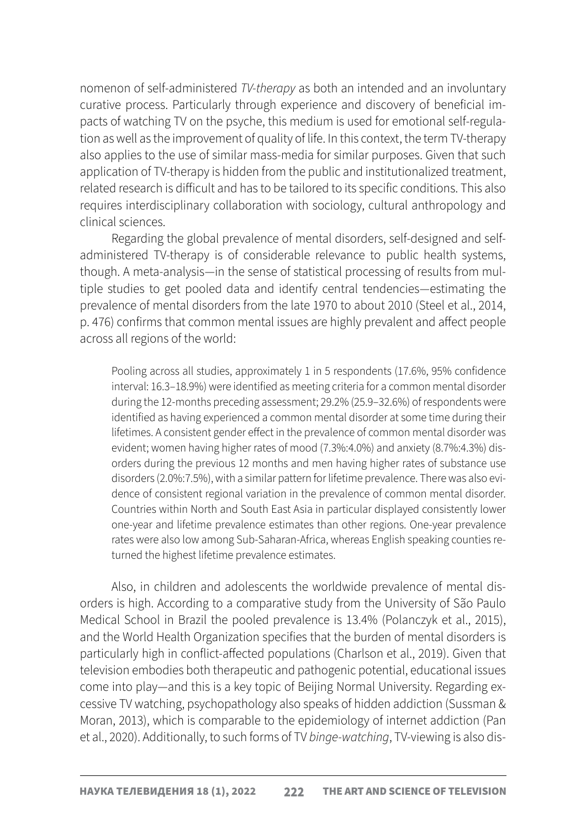nomenon of self-administered *TV-therapy* as both an intended and an involuntary curative process. Particularly through experience and discovery of beneficial impacts of watching TV on the psyche, this medium is used for emotional self-regulation as well as the improvement of quality of life. In this context, the term TV-therapy also applies to the use of similar mass-media for similar purposes. Given that such application of TV-therapy is hidden from the public and institutionalized treatment, related research is difficult and has to be tailored to its specific conditions. This also requires interdisciplinary collaboration with sociology, cultural anthropology and clinical sciences.

Regarding the global prevalence of mental disorders, self-designed and selfadministered TV-therapy is of considerable relevance to public health systems, though. A meta-analysis—in the sense of statistical processing of results from multiple studies to get pooled data and identify central tendencies—estimating the prevalence of mental disorders from the late 1970 to about 2010 (Steel et al., 2014, p. 476) confirms that common mental issues are highly prevalent and affect people across all regions of the world:

Pooling across all studies, approximately 1 in 5 respondents (17.6%, 95% confidence interval: 16.3–18.9%) were identified as meeting criteria for a common mental disorder during the 12-months preceding assessment; 29.2% (25.9–32.6%) of respondents were identified as having experienced a common mental disorder at some time during their lifetimes. A consistent gender effect in the prevalence of common mental disorder was evident; women having higher rates of mood (7.3%:4.0%) and anxiety (8.7%:4.3%) disorders during the previous 12 months and men having higher rates of substance use disorders (2.0%:7.5%), with a similar pattern for lifetime prevalence. There was also evidence of consistent regional variation in the prevalence of common mental disorder. Countries within North and South East Asia in particular displayed consistently lower one-year and lifetime prevalence estimates than other regions. One-year prevalence rates were also low among Sub-Saharan-Africa, whereas English speaking counties returned the highest lifetime prevalence estimates.

Also, in children and adolescents the worldwide prevalence of mental disorders is high. According to a comparative study from the University of São Paulo Medical School in Brazil the pooled prevalence is 13.4% (Polanczyk et al., 2015), and the World Health Organization specifies that the burden of mental disorders is particularly high in conflict-affected populations (Charlson et al., 2019). Given that television embodies both therapeutic and pathogenic potential, educational issues come into play—and this is a key topic of Beijing Normal University. Regarding excessive TV watching, psychopathology also speaks of hidden addiction (Sussman & Moran, 2013), which is comparable to the epidemiology of internet addiction (Pan et al., 2020). Additionally, to such forms of TV *binge-watching*, TV-viewing is also dis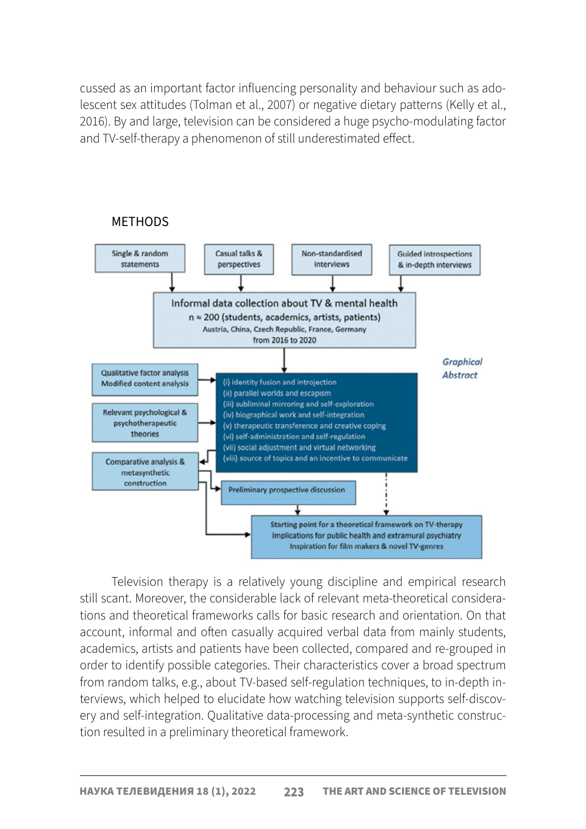cussed as an important factor influencing personality and behaviour such as adolescent sex attitudes (Tolman et al., 2007) or negative dietary patterns (Kelly et al., 2016). By and large, television can be considered a huge psycho-modulating factor and TV-self-therapy a phenomenon of still underestimated effect.



Television therapy is a relatively young discipline and empirical research still scant. Moreover, the considerable lack of relevant meta-theoretical considerations and theoretical frameworks calls for basic research and orientation. On that account, informal and often casually acquired verbal data from mainly students, academics, artists and patients have been collected, compared and re-grouped in order to identify possible categories. Their characteristics cover a broad spectrum from random talks, e.g., about TV-based self-regulation techniques, to in-depth interviews, which helped to elucidate how watching television supports self-discovery and self-integration. Qualitative data-processing and meta-synthetic construction resulted in a preliminary theoretical framework.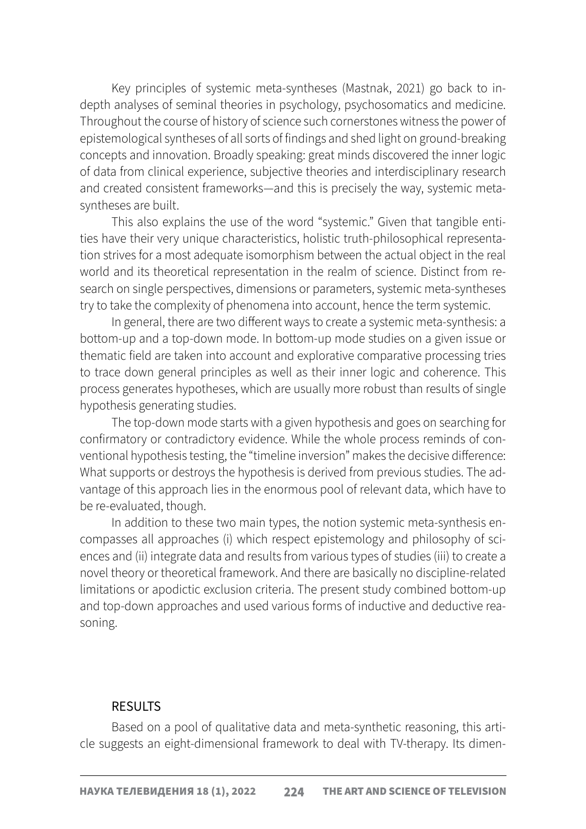Key principles of systemic meta-syntheses (Mastnak, 2021) go back to indepth analyses of seminal theories in psychology, psychosomatics and medicine. Throughout the course of history of science such cornerstones witness the power of epistemological syntheses of all sorts of findings and shed light on ground-breaking concepts and innovation. Broadly speaking: great minds discovered the inner logic of data from clinical experience, subjective theories and interdisciplinary research and created consistent frameworks—and this is precisely the way, systemic metasyntheses are built.

This also explains the use of the word "systemic." Given that tangible entities have their very unique characteristics, holistic truth-philosophical representation strives for a most adequate isomorphism between the actual object in the real world and its theoretical representation in the realm of science. Distinct from research on single perspectives, dimensions or parameters, systemic meta-syntheses try to take the complexity of phenomena into account, hence the term systemic.

In general, there are two different ways to create a systemic meta-synthesis: a bottom-up and a top-down mode. In bottom-up mode studies on a given issue or thematic field are taken into account and explorative comparative processing tries to trace down general principles as well as their inner logic and coherence. This process generates hypotheses, which are usually more robust than results of single hypothesis generating studies.

The top-down mode starts with a given hypothesis and goes on searching for confirmatory or contradictory evidence. While the whole process reminds of conventional hypothesis testing, the "timeline inversion" makes the decisive difference: What supports or destroys the hypothesis is derived from previous studies. The advantage of this approach lies in the enormous pool of relevant data, which have to be re-evaluated, though.

In addition to these two main types, the notion systemic meta-synthesis encompasses all approaches (i) which respect epistemology and philosophy of sciences and (ii) integrate data and results from various types of studies (iii) to create a novel theory or theoretical framework. And there are basically no discipline-related limitations or apodictic exclusion criteria. The present study combined bottom-up and top-down approaches and used various forms of inductive and deductive reasoning.

#### **RESULTS**

Based on a pool of qualitative data and meta-synthetic reasoning, this article suggests an eight-dimensional framework to deal with TV-therapy. Its dimen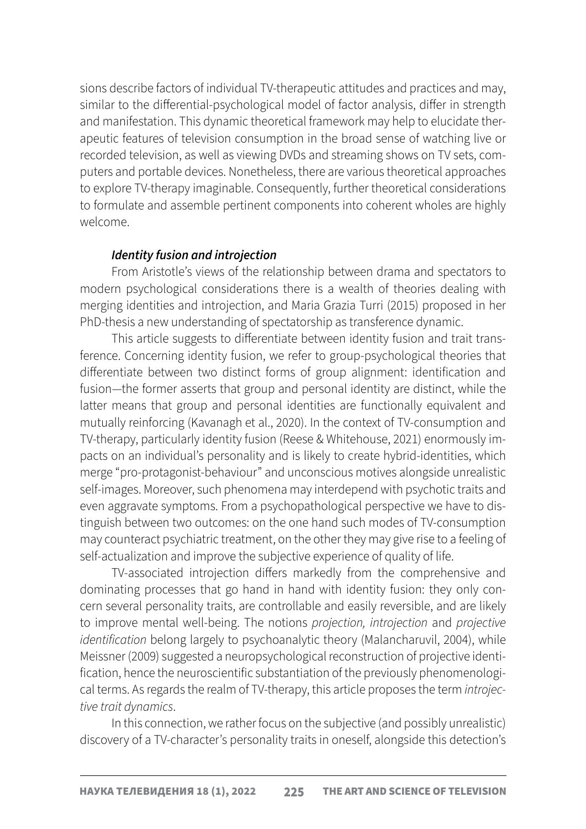sions describe factors of individual TV-therapeutic attitudes and practices and may, similar to the differential-psychological model of factor analysis, differ in strength and manifestation. This dynamic theoretical framework may help to elucidate therapeutic features of television consumption in the broad sense of watching live or recorded television, as well as viewing DVDs and streaming shows on TV sets, computers and portable devices. Nonetheless, there are various theoretical approaches to explore TV-therapy imaginable. Consequently, further theoretical considerations to formulate and assemble pertinent components into coherent wholes are highly welcome.

## *Identity fusion and introjection*

From Aristotle's views of the relationship between drama and spectators to modern psychological considerations there is a wealth of theories dealing with merging identities and introjection, and Maria Grazia Turri (2015) proposed in her PhD-thesis a new understanding of spectatorship as transference dynamic.

This article suggests to differentiate between identity fusion and trait transference. Concerning identity fusion, we refer to group-psychological theories that differentiate between two distinct forms of group alignment: identification and fusion—the former asserts that group and personal identity are distinct, while the latter means that group and personal identities are functionally equivalent and mutually reinforcing (Kavanagh et al., 2020). In the context of TV-consumption and TV-therapy, particularly identity fusion (Reese & Whitehouse, 2021) enormously impacts on an individual's personality and is likely to create hybrid-identities, which merge "pro-protagonist-behaviour" and unconscious motives alongside unrealistic self-images. Moreover, such phenomena may interdepend with psychotic traits and even aggravate symptoms. From a psychopathological perspective we have to distinguish between two outcomes: on the one hand such modes of TV-consumption may counteract psychiatric treatment, on the other they may give rise to a feeling of self-actualization and improve the subjective experience of quality of life.

TV-associated introjection differs markedly from the comprehensive and dominating processes that go hand in hand with identity fusion: they only concern several personality traits, are controllable and easily reversible, and are likely to improve mental well-being. The notions *projection, introjection* and *projective identification* belong largely to psychoanalytic theory (Malancharuvil, 2004), while Meissner (2009) suggested a neuropsychological reconstruction of projective identification, hence the neuroscientific substantiation of the previously phenomenological terms. As regards the realm of TV-therapy, this article proposes the term *introjective trait dynamics*.

In this connection, we rather focus on the subjective (and possibly unrealistic) discovery of a TV-character's personality traits in oneself, alongside this detection's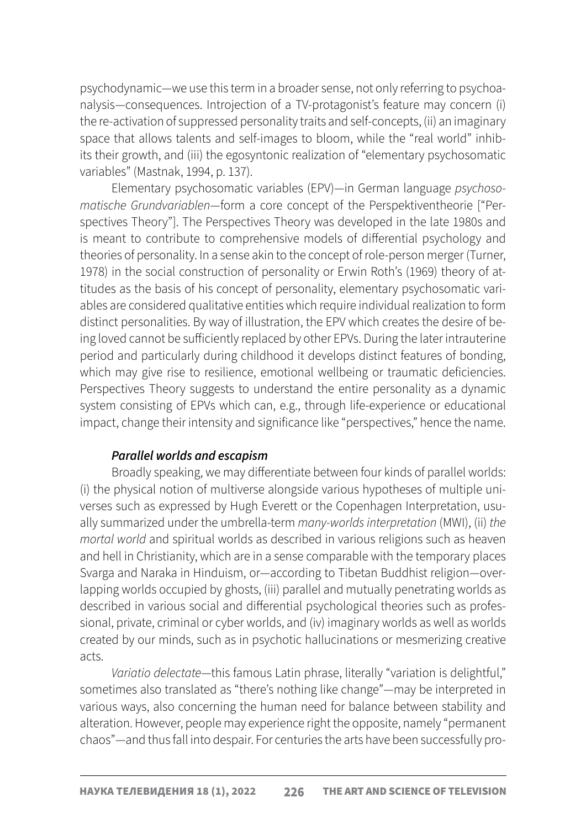psychodynamic—we use this term in a broader sense, not only referring to psychoanalysis—consequences. Introjection of a TV-protagonist's feature may concern (i) the re-activation of suppressed personality traits and self-concepts, (ii) an imaginary space that allows talents and self-images to bloom, while the "real world" inhibits their growth, and (iii) the egosyntonic realization of "elementary psychosomatic variables" (Mastnak, 1994, p. 137).

Elementary psychosomatic variables (EPV)—in German language *psychosomatische Grundvariablen*—form a core concept of the Perspektiventheorie ["Perspectives Theory"]. The Perspectives Theory was developed in the late 1980s and is meant to contribute to comprehensive models of differential psychology and theories of personality. In a sense akin to the concept of role-person merger (Turner, 1978) in the social construction of personality or Erwin Roth's (1969) theory of attitudes as the basis of his concept of personality, elementary psychosomatic variables are considered qualitative entities which require individual realization to form distinct personalities. By way of illustration, the EPV which creates the desire of being loved cannot be sufficiently replaced by other EPVs. During the later intrauterine period and particularly during childhood it develops distinct features of bonding, which may give rise to resilience, emotional wellbeing or traumatic deficiencies. Perspectives Theory suggests to understand the entire personality as a dynamic system consisting of EPVs which can, e.g., through life-experience or educational impact, change their intensity and significance like "perspectives," hence the name.

### *Parallel worlds and escapism*

Broadly speaking, we may differentiate between four kinds of parallel worlds: (i) the physical notion of multiverse alongside various hypotheses of multiple universes such as expressed by Hugh Everett or the Copenhagen Interpretation, usually summarized under the umbrella-term *many-worlds interpretation* (MWI), (ii) *the mortal world* and spiritual worlds as described in various religions such as heaven and hell in Christianity, which are in a sense comparable with the temporary places Svarga and Naraka in Hinduism, or—according to Tibetan Buddhist religion—overlapping worlds occupied by ghosts, (iii) parallel and mutually penetrating worlds as described in various social and differential psychological theories such as professional, private, criminal or cyber worlds, and (iv) imaginary worlds as well as worlds created by our minds, such as in psychotic hallucinations or mesmerizing creative acts.

*Variatio delectate*—this famous Latin phrase, literally "variation is delightful," sometimes also translated as "there's nothing like change"—may be interpreted in various ways, also concerning the human need for balance between stability and alteration. However, people may experience right the opposite, namely "permanent chaos"—and thus fall into despair. For centuries the arts have been successfully pro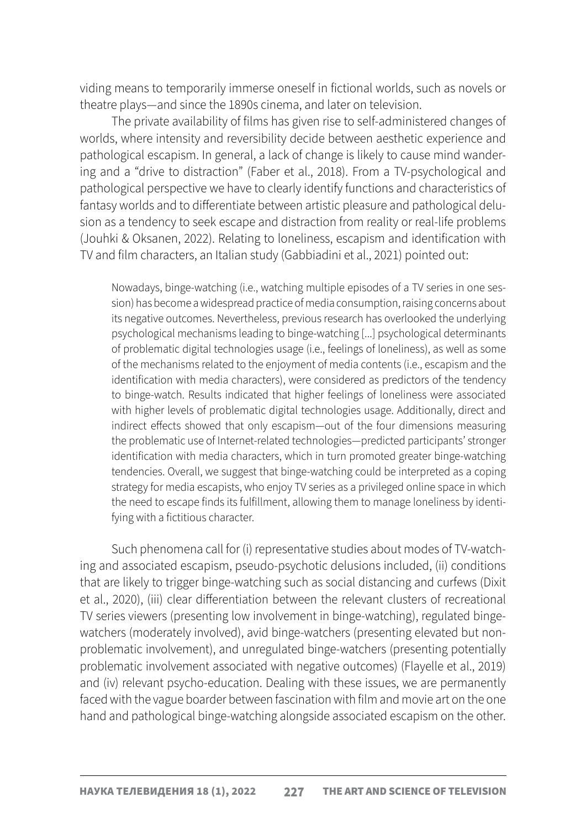viding means to temporarily immerse oneself in fictional worlds, such as novels or theatre plays—and since the 1890s cinema, and later on television.

The private availability of films has given rise to self-administered changes of worlds, where intensity and reversibility decide between aesthetic experience and pathological escapism. In general, a lack of change is likely to cause mind wandering and a "drive to distraction" (Faber et al., 2018). From a TV-psychological and pathological perspective we have to clearly identify functions and characteristics of fantasy worlds and to differentiate between artistic pleasure and pathological delusion as a tendency to seek escape and distraction from reality or real-life problems (Jouhki & Oksanen, 2022). Relating to loneliness, escapism and identification with TV and film characters, an Italian study (Gabbiadini et al., 2021) pointed out:

Nowadays, binge-watching (i.e., watching multiple episodes of a TV series in one session) has become a widespread practice of media consumption, raising concerns about its negative outcomes. Nevertheless, previous research has overlooked the underlying psychological mechanisms leading to binge-watching [...] psychological determinants of problematic digital technologies usage (i.e., feelings of loneliness), as well as some of the mechanisms related to the enjoyment of media contents (i.e., escapism and the identification with media characters), were considered as predictors of the tendency to binge-watch. Results indicated that higher feelings of loneliness were associated with higher levels of problematic digital technologies usage. Additionally, direct and indirect effects showed that only escapism—out of the four dimensions measuring the problematic use of Internet-related technologies—predicted participants' stronger identification with media characters, which in turn promoted greater binge-watching tendencies. Overall, we suggest that binge-watching could be interpreted as a coping strategy for media escapists, who enjoy TV series as a privileged online space in which the need to escape finds its fulfillment, allowing them to manage loneliness by identifying with a fictitious character.

Such phenomena call for (i) representative studies about modes of TV-watching and associated escapism, pseudo-psychotic delusions included, (ii) conditions that are likely to trigger binge-watching such as social distancing and curfews (Dixit et al., 2020), (iii) clear differentiation between the relevant clusters of recreational TV series viewers (presenting low involvement in binge-watching), regulated bingewatchers (moderately involved), avid binge-watchers (presenting elevated but nonproblematic involvement), and unregulated binge-watchers (presenting potentially problematic involvement associated with negative outcomes) (Flayelle et al., 2019) and (iv) relevant psycho-education. Dealing with these issues, we are permanently faced with the vague boarder between fascination with film and movie art on the one hand and pathological binge-watching alongside associated escapism on the other.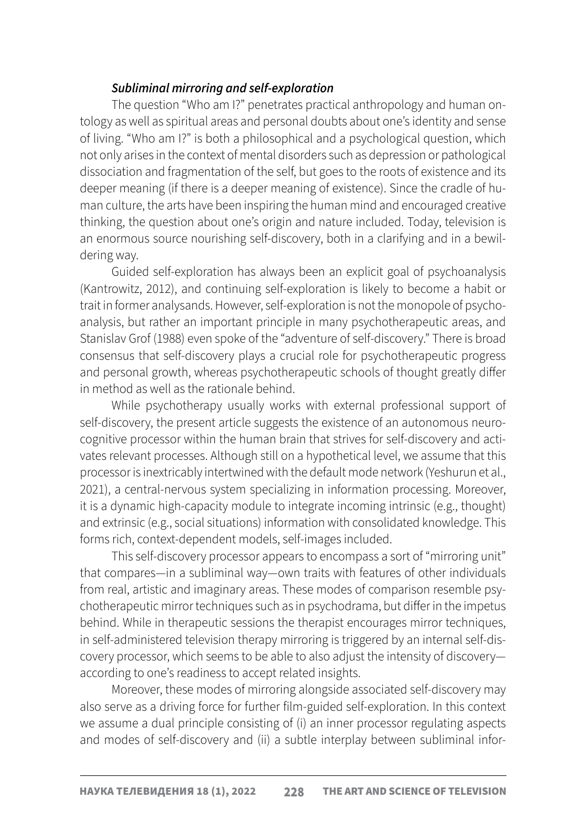## *Subliminal mirroring and self-exploration*

The question "Who am I?" penetrates practical anthropology and human ontology as well as spiritual areas and personal doubts about one's identity and sense of living. "Who am I?" is both a philosophical and a psychological question, which not only arises in the context of mental disorders such as depression or pathological dissociation and fragmentation of the self, but goes to the roots of existence and its deeper meaning (if there is a deeper meaning of existence). Since the cradle of human culture, the arts have been inspiring the human mind and encouraged creative thinking, the question about one's origin and nature included. Today, television is an enormous source nourishing self-discovery, both in a clarifying and in a bewildering way.

Guided self-exploration has always been an explicit goal of psychoanalysis (Kantrowitz, 2012), and continuing self-exploration is likely to become a habit or trait in former analysands. However, self-exploration is not the monopole of psychoanalysis, but rather an important principle in many psychotherapeutic areas, and Stanislav Grof (1988) even spoke of the "adventure of self-discovery." There is broad consensus that self-discovery plays a crucial role for psychotherapeutic progress and personal growth, whereas psychotherapeutic schools of thought greatly differ in method as well as the rationale behind.

While psychotherapy usually works with external professional support of self-discovery, the present article suggests the existence of an autonomous neurocognitive processor within the human brain that strives for self-discovery and activates relevant processes. Although still on a hypothetical level, we assume that this processor is inextricably intertwined with the default mode network (Yeshurun et al., 2021), a central-nervous system specializing in information processing. Moreover, it is a dynamic high-capacity module to integrate incoming intrinsic (e.g., thought) and extrinsic (e.g., social situations) information with consolidated knowledge. This forms rich, context-dependent models, self-images included.

This self-discovery processor appears to encompass a sort of "mirroring unit" that compares—in a subliminal way—own traits with features of other individuals from real, artistic and imaginary areas. These modes of comparison resemble psychotherapeutic mirror techniques such as in psychodrama, but differ in the impetus behind. While in therapeutic sessions the therapist encourages mirror techniques, in self-administered television therapy mirroring is triggered by an internal self-discovery processor, which seems to be able to also adjust the intensity of discovery according to one's readiness to accept related insights.

Moreover, these modes of mirroring alongside associated self-discovery may also serve as a driving force for further film-guided self-exploration. In this context we assume a dual principle consisting of (i) an inner processor regulating aspects and modes of self-discovery and (ii) a subtle interplay between subliminal infor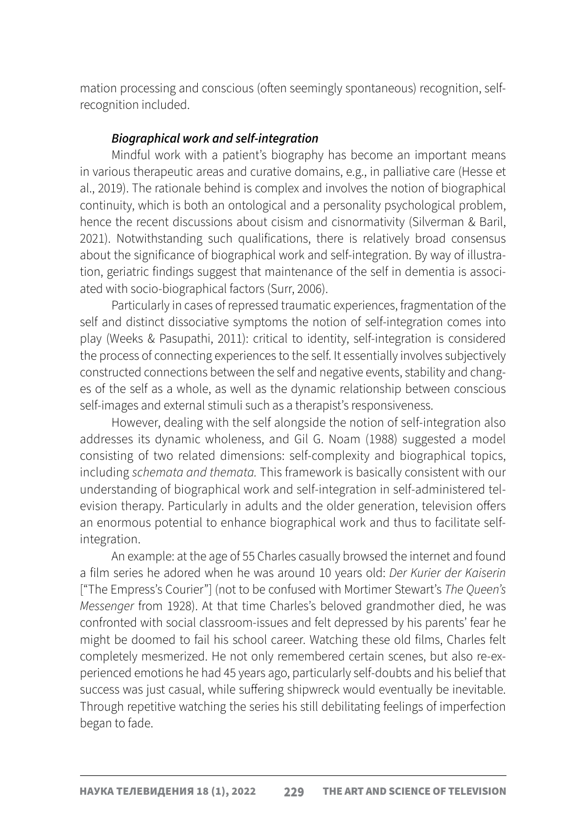mation processing and conscious (often seemingly spontaneous) recognition, selfrecognition included.

## *Biographical work and self-integration*

Mindful work with a patient's biography has become an important means in various therapeutic areas and curative domains, e.g., in palliative care (Hesse et al., 2019). The rationale behind is complex and involves the notion of biographical continuity, which is both an ontological and a personality psychological problem, hence the recent discussions about cisism and cisnormativity (Silverman & Baril, 2021). Notwithstanding such qualifications, there is relatively broad consensus about the significance of biographical work and self-integration. By way of illustration, geriatric findings suggest that maintenance of the self in dementia is associated with socio-biographical factors (Surr, 2006).

Particularly in cases of repressed traumatic experiences, fragmentation of the self and distinct dissociative symptoms the notion of self-integration comes into play (Weeks & Pasupathi, 2011): critical to identity, self-integration is considered the process of connecting experiences to the self. It essentially involves subjectively constructed connections between the self and negative events, stability and changes of the self as a whole, as well as the dynamic relationship between conscious self-images and external stimuli such as a therapist's responsiveness.

However, dealing with the self alongside the notion of self-integration also addresses its dynamic wholeness, and Gil G. Noam (1988) suggested a model consisting of two related dimensions: self-complexity and biographical topics, including *schemata and themata.* This framework is basically consistent with our understanding of biographical work and self-integration in self-administered television therapy. Particularly in adults and the older generation, television offers an enormous potential to enhance biographical work and thus to facilitate selfintegration.

An example: at the age of 55 Charles casually browsed the internet and found a film series he adored when he was around 10 years old: *Der Kurier der Kaiserin*  ["The Empress's Courier"] (not to be confused with Mortimer Stewart's *The Queen's Messenger* from 1928). At that time Charles's beloved grandmother died, he was confronted with social classroom-issues and felt depressed by his parents' fear he might be doomed to fail his school career. Watching these old films, Charles felt completely mesmerized. He not only remembered certain scenes, but also re-experienced emotions he had 45 years ago, particularly self-doubts and his belief that success was just casual, while suffering shipwreck would eventually be inevitable. Through repetitive watching the series his still debilitating feelings of imperfection began to fade.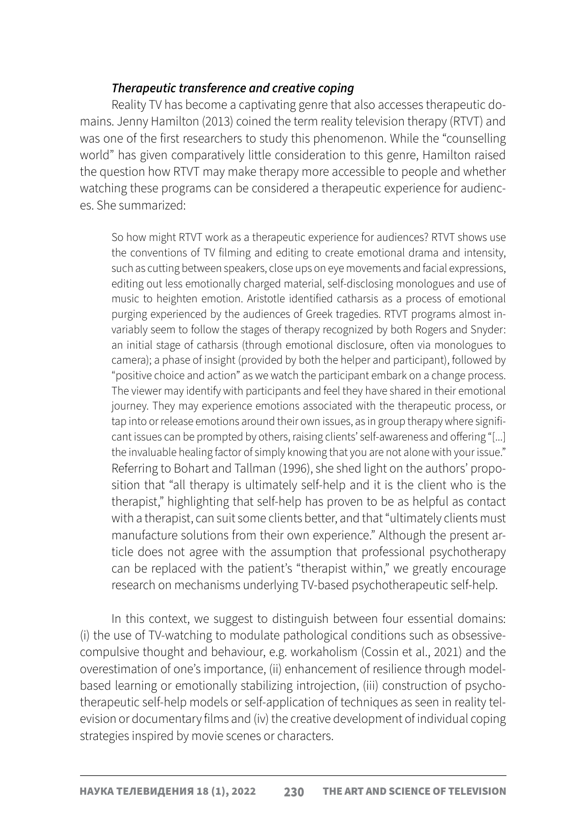### *Therapeutic transference and creative coping*

Reality TV has become a captivating genre that also accesses therapeutic domains. Jenny Hamilton (2013) coined the term reality television therapy (RTVT) and was one of the first researchers to study this phenomenon. While the "counselling world" has given comparatively little consideration to this genre, Hamilton raised the question how RTVT may make therapy more accessible to people and whether watching these programs can be considered a therapeutic experience for audiences. She summarized:

So how might RTVT work as a therapeutic experience for audiences? RTVT shows use the conventions of TV filming and editing to create emotional drama and intensity, such as cutting between speakers, close ups on eye movements and facial expressions, editing out less emotionally charged material, self-disclosing monologues and use of music to heighten emotion. Aristotle identified catharsis as a process of emotional purging experienced by the audiences of Greek tragedies. RTVT programs almost invariably seem to follow the stages of therapy recognized by both Rogers and Snyder: an initial stage of catharsis (through emotional disclosure, often via monologues to camera); a phase of insight (provided by both the helper and participant), followed by "positive choice and action" as we watch the participant embark on a change process. The viewer may identify with participants and feel they have shared in their emotional journey. They may experience emotions associated with the therapeutic process, or tap into or release emotions around their own issues, as in group therapy where significant issues can be prompted by others, raising clients' self-awareness and offering "[...] the invaluable healing factor of simply knowing that you are not alone with your issue." Referring to Bohart and Tallman (1996), she shed light on the authors' proposition that "all therapy is ultimately self-help and it is the client who is the therapist," highlighting that self-help has proven to be as helpful as contact with a therapist, can suit some clients better, and that "ultimately clients must manufacture solutions from their own experience." Although the present article does not agree with the assumption that professional psychotherapy can be replaced with the patient's "therapist within," we greatly encourage research on mechanisms underlying TV-based psychotherapeutic self-help.

In this context, we suggest to distinguish between four essential domains: (i) the use of TV-watching to modulate pathological conditions such as obsessivecompulsive thought and behaviour, e.g. workaholism (Cossin et al., 2021) and the overestimation of one's importance, (ii) enhancement of resilience through modelbased learning or emotionally stabilizing introjection, (iii) construction of psychotherapeutic self-help models or self-application of techniques as seen in reality television or documentary films and (iv) the creative development of individual coping strategies inspired by movie scenes or characters.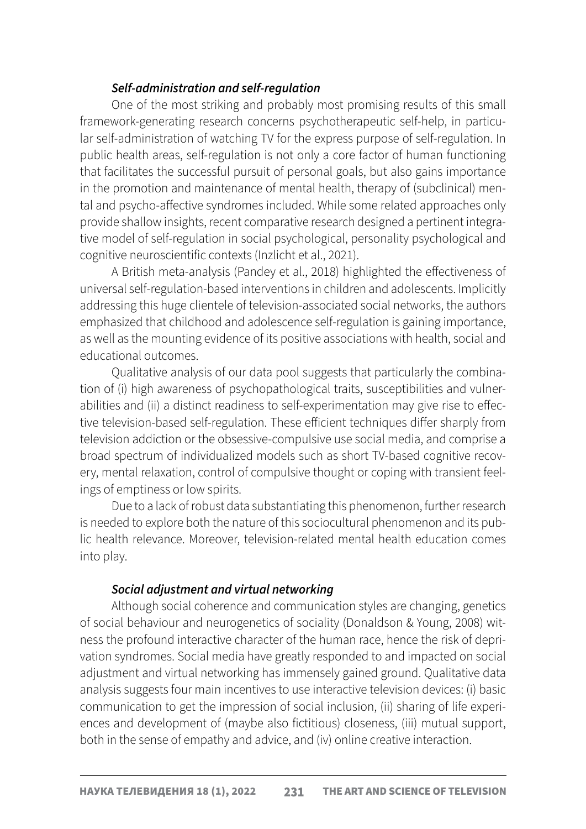# *Self-administration and self-regulation*

One of the most striking and probably most promising results of this small framework-generating research concerns psychotherapeutic self-help, in particular self-administration of watching TV for the express purpose of self-regulation. In public health areas, self-regulation is not only a core factor of human functioning that facilitates the successful pursuit of personal goals, but also gains importance in the promotion and maintenance of mental health, therapy of (subclinical) mental and psycho-affective syndromes included. While some related approaches only provide shallow insights, recent comparative research designed a pertinent integrative model of self-regulation in social psychological, personality psychological and cognitive neuroscientific contexts (Inzlicht et al., 2021).

A British meta-analysis (Pandey et al., 2018) highlighted the effectiveness of universal self-regulation-based interventions in children and adolescents. Implicitly addressing this huge clientele of television-associated social networks, the authors emphasized that childhood and adolescence self-regulation is gaining importance, as well as the mounting evidence of its positive associations with health, social and educational outcomes.

Qualitative analysis of our data pool suggests that particularly the combination of (i) high awareness of psychopathological traits, susceptibilities and vulnerabilities and (ii) a distinct readiness to self-experimentation may give rise to effective television-based self-regulation. These efficient techniques differ sharply from television addiction or the obsessive-compulsive use social media, and comprise a broad spectrum of individualized models such as short TV-based cognitive recovery, mental relaxation, control of compulsive thought or coping with transient feelings of emptiness or low spirits.

Due to a lack of robust data substantiating this phenomenon, further research is needed to explore both the nature of this sociocultural phenomenon and its public health relevance. Moreover, television-related mental health education comes into play.

# *Social adjustment and virtual networking*

Although social coherence and communication styles are changing, genetics of social behaviour and neurogenetics of sociality (Donaldson & Young, 2008) witness the profound interactive character of the human race, hence the risk of deprivation syndromes. Social media have greatly responded to and impacted on social adjustment and virtual networking has immensely gained ground. Qualitative data analysis suggests four main incentives to use interactive television devices: (i) basic communication to get the impression of social inclusion, (ii) sharing of life experiences and development of (maybe also fictitious) closeness, (iii) mutual support, both in the sense of empathy and advice, and (iv) online creative interaction.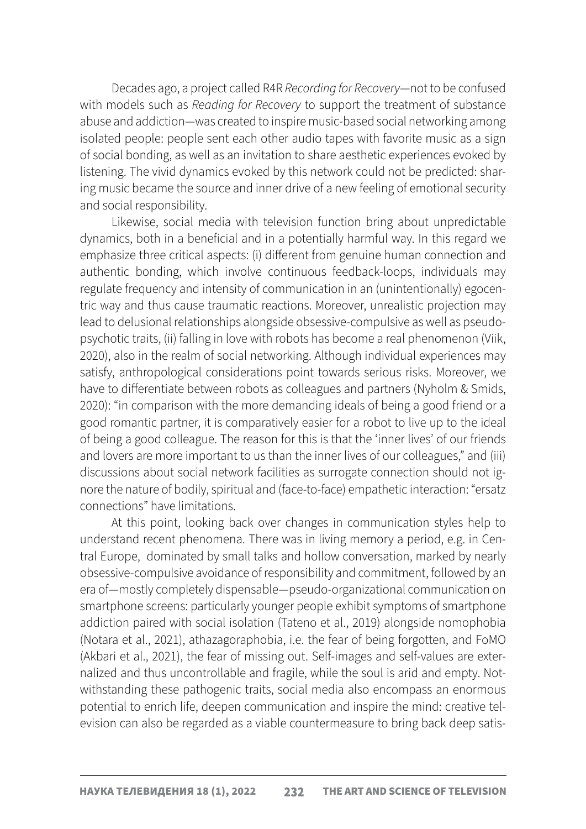Decades ago, a project called R4R *Recording for Recovery*—not to be confused with models such as *Reading for Recovery* to support the treatment of substance abuse and addiction—was created to inspire music-based social networking among isolated people: people sent each other audio tapes with favorite music as a sign of social bonding, as well as an invitation to share aesthetic experiences evoked by listening. The vivid dynamics evoked by this network could not be predicted: sharing music became the source and inner drive of a new feeling of emotional security and social responsibility.

Likewise, social media with television function bring about unpredictable dynamics, both in a beneficial and in a potentially harmful way. In this regard we emphasize three critical aspects: (i) different from genuine human connection and authentic bonding, which involve continuous feedback-loops, individuals may regulate frequency and intensity of communication in an (unintentionally) egocentric way and thus cause traumatic reactions. Moreover, unrealistic projection may lead to delusional relationships alongside obsessive-compulsive as well as pseudopsychotic traits, (ii) falling in love with robots has become a real phenomenon (Viik, 2020), also in the realm of social networking. Although individual experiences may satisfy, anthropological considerations point towards serious risks. Moreover, we have to differentiate between robots as colleagues and partners (Nyholm & Smids, 2020): "in comparison with the more demanding ideals of being a good friend or a good romantic partner, it is comparatively easier for a robot to live up to the ideal of being a good colleague. The reason for this is that the 'inner lives' of our friends and lovers are more important to us than the inner lives of our colleagues," and (iii) discussions about social network facilities as surrogate connection should not ignore the nature of bodily, spiritual and (face-to-face) empathetic interaction: "ersatz connections" have limitations.

At this point, looking back over changes in communication styles help to understand recent phenomena. There was in living memory a period, e.g. in Central Europe, dominated by small talks and hollow conversation, marked by nearly obsessive-compulsive avoidance of responsibility and commitment, followed by an era of—mostly completely dispensable—pseudo-organizational communication on smartphone screens: particularly younger people exhibit symptoms of smartphone addiction paired with social isolation (Tateno et al., 2019) alongside nomophobia (Notara et al., 2021), athazagoraphobia, i.e. the fear of being forgotten, and FoMO (Akbari et al., 2021), the fear of missing out. Self-images and self-values are externalized and thus uncontrollable and fragile, while the soul is arid and empty. Notwithstanding these pathogenic traits, social media also encompass an enormous potential to enrich life, deepen communication and inspire the mind: creative television can also be regarded as a viable countermeasure to bring back deep satis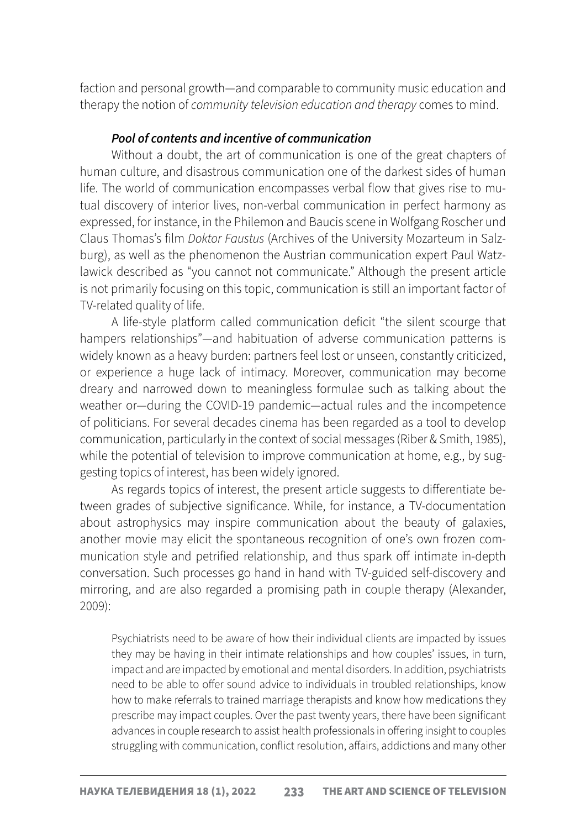faction and personal growth—and comparable to community music education and therapy the notion of *community television education and therapy* comes to mind.

#### *Pool of contents and incentive of communication*

Without a doubt, the art of communication is one of the great chapters of human culture, and disastrous communication one of the darkest sides of human life. The world of communication encompasses verbal flow that gives rise to mutual discovery of interior lives, non-verbal communication in perfect harmony as expressed, for instance, in the Philemon and Baucis scene in Wolfgang Roscher und Claus Thomas's film *Doktor Faustus* (Archives of the University Mozarteum in Salzburg), as well as the phenomenon the Austrian communication expert Paul Watzlawick described as "you cannot not communicate." Although the present article is not primarily focusing on this topic, communication is still an important factor of TV-related quality of life.

A life-style platform called communication deficit "the silent scourge that hampers relationships"—and habituation of adverse communication patterns is widely known as a heavy burden: partners feel lost or unseen, constantly criticized, or experience a huge lack of intimacy. Moreover, communication may become dreary and narrowed down to meaningless formulae such as talking about the weather or—during the COVID-19 pandemic—actual rules and the incompetence of politicians. For several decades cinema has been regarded as a tool to develop communication, particularly in the context of social messages (Riber & Smith, 1985), while the potential of television to improve communication at home, e.g., by suggesting topics of interest, has been widely ignored.

As regards topics of interest, the present article suggests to differentiate between grades of subjective significance. While, for instance, a TV-documentation about astrophysics may inspire communication about the beauty of galaxies, another movie may elicit the spontaneous recognition of one's own frozen communication style and petrified relationship, and thus spark off intimate in-depth conversation. Such processes go hand in hand with TV-guided self-discovery and mirroring, and are also regarded a promising path in couple therapy (Alexander, 2009):

Psychiatrists need to be aware of how their individual clients are impacted by issues they may be having in their intimate relationships and how couples' issues, in turn, impact and are impacted by emotional and mental disorders. In addition, psychiatrists need to be able to offer sound advice to individuals in troubled relationships, know how to make referrals to trained marriage therapists and know how medications they prescribe may impact couples. Over the past twenty years, there have been significant advances in couple research to assist health professionals in offering insight to couples struggling with communication, conflict resolution, affairs, addictions and many other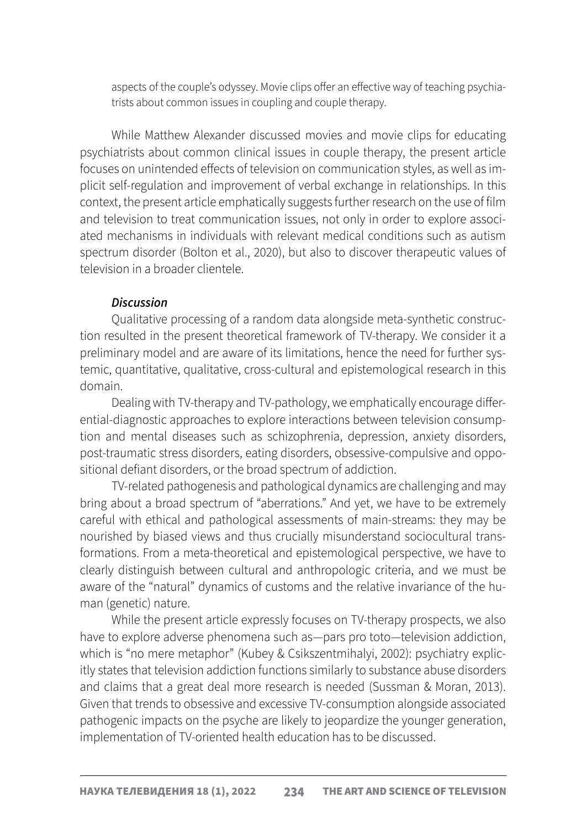aspects of the couple's odyssey. Movie clips offer an effective way of teaching psychiatrists about common issues in coupling and couple therapy.

While Matthew Alexander discussed movies and movie clips for educating psychiatrists about common clinical issues in couple therapy, the present article focuses on unintended effects of television on communication styles, as well as implicit self-regulation and improvement of verbal exchange in relationships. In this context, the present article emphatically suggests further research on the use of film and television to treat communication issues, not only in order to explore associated mechanisms in individuals with relevant medical conditions such as autism spectrum disorder (Bolton et al., 2020), but also to discover therapeutic values of television in a broader clientele.

#### *Discussion*

Qualitative processing of a random data alongside meta-synthetic construction resulted in the present theoretical framework of TV-therapy. We consider it a preliminary model and are aware of its limitations, hence the need for further systemic, quantitative, qualitative, cross-cultural and epistemological research in this domain.

Dealing with TV-therapy and TV-pathology, we emphatically encourage differential-diagnostic approaches to explore interactions between television consumption and mental diseases such as schizophrenia, depression, anxiety disorders, post-traumatic stress disorders, eating disorders, obsessive-compulsive and oppositional defiant disorders, or the broad spectrum of addiction.

TV-related pathogenesis and pathological dynamics are challenging and may bring about a broad spectrum of "aberrations." And yet, we have to be extremely careful with ethical and pathological assessments of main-streams: they may be nourished by biased views and thus crucially misunderstand sociocultural transformations. From a meta-theoretical and epistemological perspective, we have to clearly distinguish between cultural and anthropologic criteria, and we must be aware of the "natural" dynamics of customs and the relative invariance of the human (genetic) nature.

While the present article expressly focuses on TV-therapy prospects, we also have to explore adverse phenomena such as—pars pro toto—television addiction, which is "no mere metaphor" (Kubey & Csikszentmihalyi, 2002): psychiatry explicitly states that television addiction functions similarly to substance abuse disorders and claims that a great deal more research is needed (Sussman & Moran, 2013). Given that trends to obsessive and excessive TV-consumption alongside associated pathogenic impacts on the psyche are likely to jeopardize the younger generation, implementation of TV-oriented health education has to be discussed.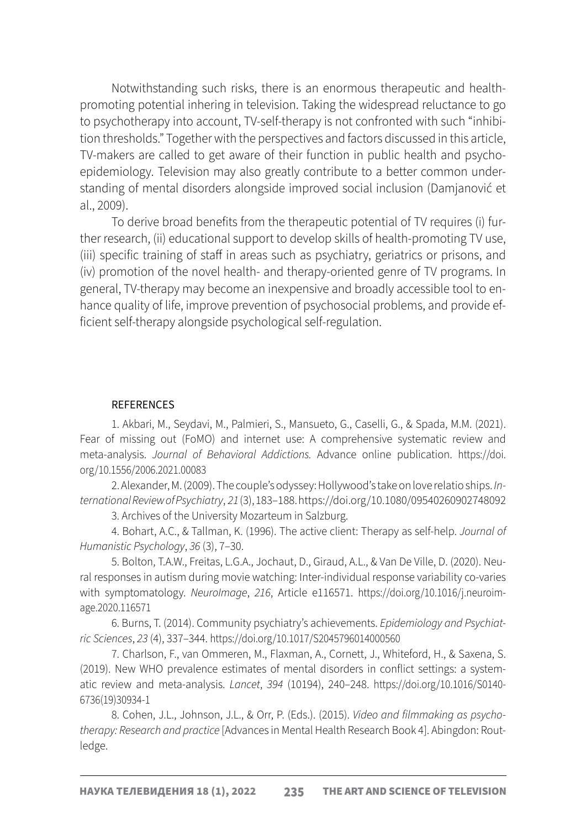Notwithstanding such risks, there is an enormous therapeutic and healthpromoting potential inhering in television. Taking the widespread reluctance to go to psychotherapy into account, TV-self-therapy is not confronted with such "inhibition thresholds." Together with the perspectives and factors discussed in this article, TV-makers are called to get aware of their function in public health and psychoepidemiology. Television may also greatly contribute to a better common understanding of mental disorders alongside improved social inclusion (Damjanović et al., 2009).

To derive broad benefits from the therapeutic potential of TV requires (i) further research, (ii) educational support to develop skills of health-promoting TV use, (iii) specific training of staff in areas such as psychiatry, geriatrics or prisons, and (iv) promotion of the novel health- and therapy-oriented genre of TV programs. In general, TV-therapy may become an inexpensive and broadly accessible tool to enhance quality of life, improve prevention of psychosocial problems, and provide efficient self-therapy alongside psychological self-regulation.

#### **REFERENCES**

1. Akbari, M., Seydavi, M., Palmieri, S., Mansueto, G., Caselli, G., & Spada, M.M. (2021). Fear of missing out (FoMO) and internet use: A comprehensive systematic review and meta-analysis. *Journal of Behavioral Addictions.* Advance online publication. [https://doi.](https://doi.org/10.1556/2006.2021.00083) [org/10.1556/2006.2021.00083](https://doi.org/10.1556/2006.2021.00083)

2. Alexander, M. (2009). The couple's odyssey: Hollywood's take on love relatio ships. *International Review of Psychiatry*, *21* (3), 183–188.<https://doi.org/10.1080/09540260902748092>

3. Archives of the University Mozarteum in Salzburg.

4. Bohart, A.C., & Tallman, K. (1996). The active client: Therapy as self-help. *Journal of Humanistic Psychology*, *36* (3), 7–30.

5. Bolton, T.A.W., Freitas, L.G.A., Jochaut, D., Giraud, A.L., & Van De Ville, D. (2020). Neural responses in autism during movie watching: Inter-individual response variability co-varies with symptomatology. *NeuroImage*, *216*, Article e116571. [https://doi.org/10.1016/j.neuroim](https://doi.org/10.1016/j.neuroimage.2020.116571)[age.2020.116571](https://doi.org/10.1016/j.neuroimage.2020.116571)

6. Burns, T. (2014). Community psychiatry's achievements. *Epidemiology and Psychiatric Sciences*, *23* (4), 337–344. <https://doi.org/10.1017/S2045796014000560>

7. Charlson, F., van Ommeren, M., Flaxman, A., Cornett, J., Whiteford, H., & Saxena, S. (2019). New WHO prevalence estimates of mental disorders in conflict settings: a systematic review and meta-analysis. *Lancet*, *394* (10194), 240–248. [https://doi.org/10.1016/S0140-](https://doi.org/10.1016/S0140-6736(19)30934-1) [6736\(19\)30934-1](https://doi.org/10.1016/S0140-6736(19)30934-1)

8. Cohen, J.L., Johnson, J.L., & Orr, P. (Eds.). (2015). *Video and filmmaking as psychotherapy: Research and practice* [Advances in Mental Health Research Book 4]. Abingdon: Routledge.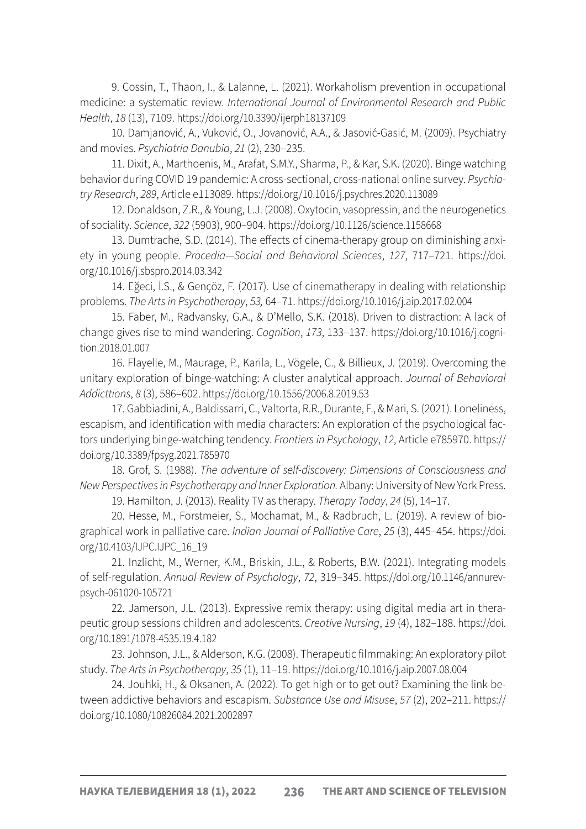9. Cossin, T., Thaon, I., & Lalanne, L. (2021). Workaholism prevention in occupational medicine: a systematic review. *International Journal of Environmental Research and Public Health*, *18* (13), 7109.<https://doi.org/10.3390/ijerph18137109>

10. Damjanović, A., Vuković, O., Jovanović, A.A., & Jasović-Gasić, M. (2009). Psychiatry and movies. *Psychiatria Danubia*, *21* (2), 230–235.

11. Dixit, A., Marthoenis, M., Arafat, S.M.Y., Sharma, P., & Kar, S.K. (2020). Binge watching behavior during COVID 19 pandemic: A cross-sectional, cross-national online survey. *Psychiatry Research*, *289*, Article e113089. <https://doi.org/10.1016/j.psychres.2020.113089>

12. Donaldson, Z.R., & Young, L.J. (2008). Oxytocin, vasopressin, and the neurogenetics of sociality. *Science*, *322* (5903), 900–904. <https://doi.org/10.1126/science.1158668>

13. Dumtrache, S.D. (2014). The effects of cinema-therapy group on diminishing anxiety in young people. *Procedia—Social and Behavioral Sciences*, *127*, 717–721. [https://doi.](https://doi.org/10.1016/j.sbspro.2014.03.342) [org/10.1016/j.sbspro.2014.03.342](https://doi.org/10.1016/j.sbspro.2014.03.342)

14. Eğeci, İ.S., & Gençöz, F. (2017). Use of cinematherapy in dealing with relationship problems. *The Arts in Psychotherapy*, *53,* 64–71. <https://doi.org/10.1016/j.aip.2017.02.004>

15. Faber, M., Radvansky, G.A., & D'Mello, S.K. (2018). Driven to distraction: A lack of change gives rise to mind wandering. *Cognition*, *173*, 133–137. [https://doi.org/10.1016/j.cogni](https://doi.org/10.1016/j.cognition.2018.01.007)[tion.2018.01.007](https://doi.org/10.1016/j.cognition.2018.01.007)

16. Flayelle, M., Maurage, P., Karila, L., Vögele, C., & Billieux, J. (2019). Overcoming the unitary exploration of binge-watching: A cluster analytical approach. *Journal of Behavioral Addicttions*, *8* (3), 586–602[. https://doi.org/10.1556/2006.8.2019.53]( https://doi.org/10.1556/2006.8.2019.53)

17. Gabbiadini, A., Baldissarri, C., Valtorta, R.R., Durante, F., & Mari, S. (2021). Loneliness, escapism, and identification with media characters: An exploration of the psychological factors underlying binge-watching tendency. *Frontiers in Psychology*, *12*, Article e785970. [https://](https://doi.org/10.3389/fpsyg.2021.785970) [doi.org/10.3389/fpsyg.2021.785970](https://doi.org/10.3389/fpsyg.2021.785970)

18. Grof, S. (1988). *The adventure of self-discovery: Dimensions of Consciousness and New Perspectives in Psychotherapy and Inner Exploration.* Albany: University of New York Press.

19. Hamilton, J. (2013). Reality TV as therapy. *Therapy Today*, *24* (5), 14–17.

20. Hesse, M., Forstmeier, S., Mochamat, M., & Radbruch, L. (2019). A review of biographical work in palliative care. *Indian Journal of Palliative Care*, *25* (3), 445–454. [https://doi.](https://doi.org/10.4103/IJPC.IJPC_16_19) [org/10.4103/IJPC.IJPC\\_16\\_19](https://doi.org/10.4103/IJPC.IJPC_16_19)

21. Inzlicht, M., Werner, K.M., Briskin, J.L., & Roberts, B.W. (2021). Integrating models of self-regulation. *Annual Review of Psychology*, *72*, 319–345. [https://doi.org/10.1146/annurev](https://doi.org/10.1146/annurev-psych-061020-105721)[psych-061020-105721](https://doi.org/10.1146/annurev-psych-061020-105721)

22. Jamerson, J.L. (2013). Expressive remix therapy: using digital media art in therapeutic group sessions children and adolescents. *Creative Nursing*, *19* (4), 182–188. [https://doi.](https://doi.org/10.1891/1078-4535.19.4.182) [org/10.1891/1078-4535.19.4.182](https://doi.org/10.1891/1078-4535.19.4.182)

23. Johnson, J.L., & Alderson, K.G. (2008). Therapeutic filmmaking: An exploratory pilot study. *The Arts in Psychotherapy*, *35* (1), 11–19. [https://doi.org/10.1016/j.aip.2007.08.004]( https://doi.org/10.1016/j.aip.2007.08.004)

24. Jouhki, H., & Oksanen, A. (2022). To get high or to get out? Examining the link between addictive behaviors and escapism. *Substance Use and Misuse*, *57* (2), 202–211. [https://](https://doi.org/10.1080/10826084.2021.2002897) [doi.org/10.1080/10826084.2021.2002897](https://doi.org/10.1080/10826084.2021.2002897)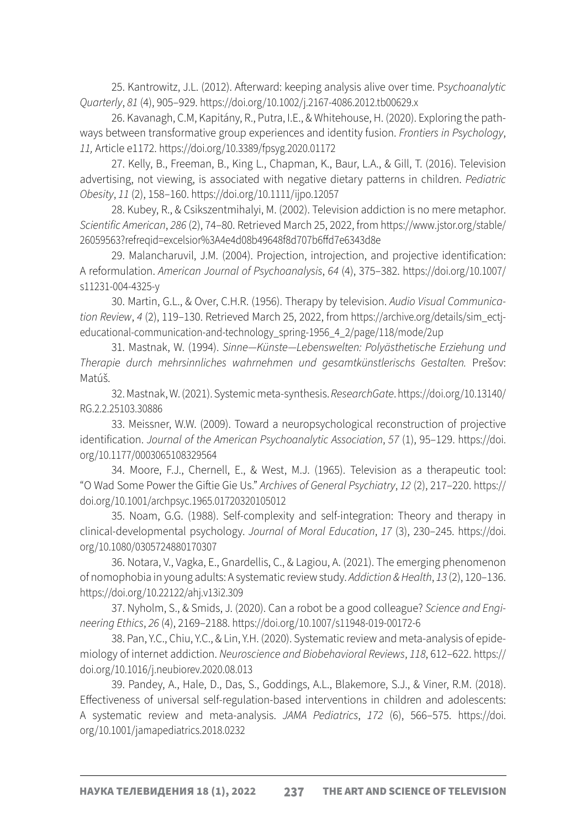25. Kantrowitz, J.L. (2012). Afterward: keeping analysis alive over time. P*sychoanalytic Quarterly*, *81* (4), 905–929. <https://doi.org/10.1002/j.2167-4086.2012.tb00629.x>

26. Kavanagh, C.M, Kapitány, R., Putra, I.E., & Whitehouse, H. (2020). Exploring the pathways between transformative group experiences and identity fusion. *Frontiers in Psychology*, *11,* Article e1172.<https://doi.org/10.3389/fpsyg.2020.01172>

27. Kelly, B., Freeman, B., King L., Chapman, K., Baur, L.A., & Gill, T. (2016). Television advertising, not viewing, is associated with negative dietary patterns in children. *Pediatric Obesity*, *11* (2), 158–160.<https://doi.org/10.1111/ijpo.12057>

28. Kubey, R., & Csikszentmihalyi, M. (2002). Television addiction is no mere metaphor. *Scientific American*, *286* (2), 74–80. Retrieved March 25, 2022, from [https://www.jstor.org/stable/](https://www.jstor.org/stable/26059563?refreqid=excelsior%3A4e4d08b49648f8d707b6ffd7e6343d8e) [26059563?refreqid=excelsior%3A4e4d08b49648f8d707b6ffd7e6343d8e](https://www.jstor.org/stable/26059563?refreqid=excelsior%3A4e4d08b49648f8d707b6ffd7e6343d8e)

29. Malancharuvil, J.M. (2004). Projection, introjection, and projective identification: A reformulation. *American Journal of Psychoanalysis*, *64* (4), 375–382. [https://doi.org/10.1007/](https://doi.org/10.1007/s11231-004-4325-y) [s11231-004-4325-y](https://doi.org/10.1007/s11231-004-4325-y)

30. Martin, G.L., & Over, C.H.R. (1956). Therapy by television. *Audio Visual Communication Review*, *4* (2), 119–130. Retrieved March 25, 2022, from [https://archive.org/details/sim\\_ectj](https://archive.org/details/sim_ectj-educational-communication-and-technology_spring-1956_4_2/page/118/mode/2up)[educational-communication-and-technology\\_spring-1956\\_4\\_2/page/118/mode/2up](https://archive.org/details/sim_ectj-educational-communication-and-technology_spring-1956_4_2/page/118/mode/2up)

31. Mastnak, W. (1994). *Sinne—Künste—Lebenswelten: Polyästhetische Erziehung und Therapie durch mehrsinnliches wahrnehmen und gesamtkünstlerischs Gestalten.* Prešov: Matúš.

32. Mastnak, W. (2021). Systemic meta-synthesis. *ResearchGate*. [https://doi.org/10.13140/](https://doi.org/10.13140/RG.2.2.25103.30886) [RG.2.2.25103.30886](https://doi.org/10.13140/RG.2.2.25103.30886)

33. Meissner, W.W. (2009). Toward a neuropsychological reconstruction of projective identification. *Journal of the American Psychoanalytic Association*, *57* (1), 95–129. [https://doi.](https://doi.org/10.1177/0003065108329564) [org/10.1177/0003065108329564](https://doi.org/10.1177/0003065108329564)

34. Moore, F.J., Chernell, E., & West, M.J. (1965). Television as a therapeutic tool: "O Wad Some Power the Giftie Gie Us." *Archives of General Psychiatry*, *12* (2), 217–220. [https://](https://doi.org/10.1001/archpsyc.1965.01720320105012) [doi.org/10.1001/archpsyc.1965.01720320105012](https://doi.org/10.1001/archpsyc.1965.01720320105012)

35. Noam, G.G. (1988). Self-complexity and self-integration: Theory and therapy in clinical-developmental psychology. *Journal of Moral Education*, *17* (3), 230–245. [https://doi.](https://doi.org/10.1080/0305724880170307) [org/10.1080/0305724880170307](https://doi.org/10.1080/0305724880170307)

36. Notara, V., Vagka, E., Gnardellis, C., & Lagiou, A. (2021). The emerging phenomenon of nomophobia in young adults: A systematic review study. *Addiction & Health*, *13* (2), 120–136. <https://doi.org/10.22122/ahj.v13i2.309>

37. Nyholm, S., & Smids, J. (2020). Can a robot be a good colleague? *Science and Engineering Ethics*, *26* (4), 2169–2188. <https://doi.org/10.1007/s11948-019-00172-6>

38. Pan, Y.C., Chiu, Y.C., & Lin, Y.H. (2020). Systematic review and meta-analysis of epidemiology of internet addiction. *Neuroscience and Biobehavioral Reviews*, *118*, 612–622. [https://](https://doi.org/10.1016/j.neubiorev.2020.08.013) [doi.org/10.1016/j.neubiorev.2020.08.013](https://doi.org/10.1016/j.neubiorev.2020.08.013)

39. Pandey, A., Hale, D., Das, S., Goddings, A.L., Blakemore, S.J., & Viner, R.M. (2018). Effectiveness of universal self-regulation-based interventions in children and adolescents: A systematic review and meta-analysis. *JAMA Pediatrics*, *172* (6), 566–575. [https://doi.](https://doi.org/10.1001/jamapediatrics.2018.0232) [org/10.1001/jamapediatrics.2018.0232](https://doi.org/10.1001/jamapediatrics.2018.0232)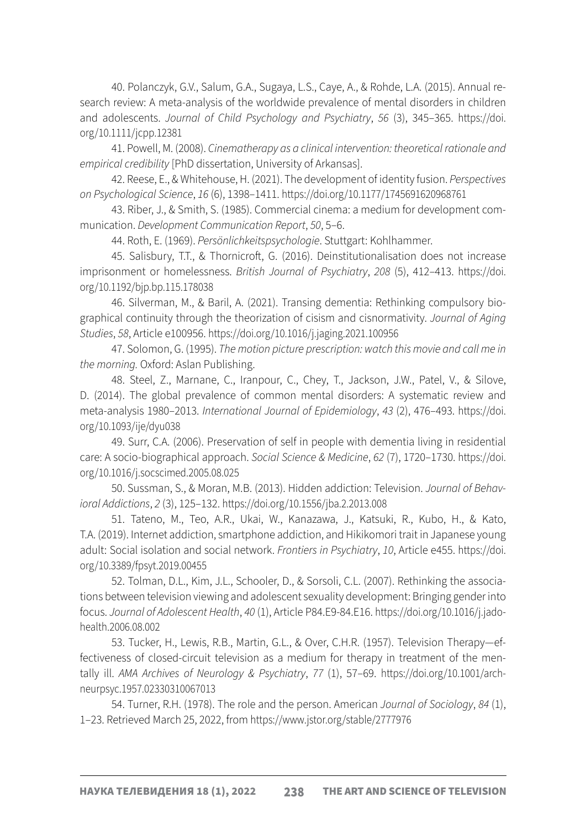40. Polanczyk, G.V., Salum, G.A., Sugaya, L.S., Caye, A., & Rohde, L.A. (2015). Annual research review: A meta-analysis of the worldwide prevalence of mental disorders in children and adolescents. *Journal of Child Psychology and Psychiatry*, *56* (3), 345–365. [https://doi.](https://doi.org/10.1111/jcpp.12381) [org/10.1111/jcpp.12381](https://doi.org/10.1111/jcpp.12381)

41. Powell, M. (2008). *Cinematherapy as a clinical intervention: theoretical rationale and empirical credibility* [PhD dissertation, University of Arkansas].

42. Reese, E., & Whitehouse, H. (2021). The development of identity fusion. *Perspectives on Psychological Science*, *16* (6), 1398–1411.<https://doi.org/10.1177/1745691620968761>

43. Riber, J., & Smith, S. (1985). Commercial cinema: a medium for development communication. *Development Communication Report*, *50*, 5–6.

44. Roth, E. (1969). *Persönlichkeitspsychologie*. Stuttgart: Kohlhammer.

45. Salisbury, T.T., & Thornicroft, G. (2016). Deinstitutionalisation does not increase imprisonment or homelessness. *British Journal of Psychiatry*, *208* (5), 412–413. [https://doi.](https://doi.org/10.1192/bjp.bp.115.178038) [org/10.1192/bjp.bp.115.178038](https://doi.org/10.1192/bjp.bp.115.178038)

46. Silverman, M., & Baril, A. (2021). Transing dementia: Rethinking compulsory biographical continuity through the theorization of cisism and cisnormativity. *Journal of Aging Studies*, *58*, Article e100956. <https://doi.org/10.1016/j.jaging.2021.100956>

47. Solomon, G. (1995). *The motion picture prescription: watch this movie and call me in the morning.* Oxford: Aslan Publishing.

48. Steel, Z., Marnane, C., Iranpour, C., Chey, T., Jackson, J.W., Patel, V., & Silove, D. (2014). The global prevalence of common mental disorders: A systematic review and meta-analysis 1980–2013. *International Journal of Epidemiology*, *43* (2), 476–493. [https://doi.](https://doi.org/10.1093/ije/dyu038) [org/10.1093/ije/dyu038](https://doi.org/10.1093/ije/dyu038)

49. Surr, C.A. (2006). Preservation of self in people with dementia living in residential care: A socio-biographical approach. *Social Science & Medicine*, *62* (7), 1720–1730. [https://doi.](https://doi.org/10.1016/j.socscimed.2005.08.025) [org/10.1016/j.socscimed.2005.08.025](https://doi.org/10.1016/j.socscimed.2005.08.025)

50. Sussman, S., & Moran, M.B. (2013). Hidden addiction: Television. *Journal of Behavioral Addictions*, *2* (3), 125–132. <https://doi.org/10.1556/jba.2.2013.008>

51. Tateno, M., Teo, A.R., Ukai, W., Kanazawa, J., Katsuki, R., Kubo, H., & Kato, T.A. (2019). Internet addiction, smartphone addiction, and Hikikomori trait in Japanese young adult: Social isolation and social network. *Frontiers in Psychiatry*, *10*, Article e455. [https://doi.](https://doi.org/10.3389/fpsyt.2019.00455) [org/10.3389/fpsyt.2019.00455](https://doi.org/10.3389/fpsyt.2019.00455)

52. Tolman, D.L., Kim, J.L., Schooler, D., & Sorsoli, C.L. (2007). Rethinking the associations between television viewing and adolescent sexuality development: Bringing gender into focus. *Journal of Adolescent Health*, *40* (1), Article P84.E9-84.E16. [https://doi.org/10.1016/j.jado](https://doi.org/10.1016/j.jadohealth.2006.08.002)[health.2006.08.002](https://doi.org/10.1016/j.jadohealth.2006.08.002)

53. Tucker, H., Lewis, R.B., Martin, G.L., & Over, C.H.R. (1957). Television Therapy—effectiveness of closed-circuit television as a medium for therapy in treatment of the mentally ill. *AMA Archives of Neurology & Psychiatry*, *77* (1), 57–69. [https://doi.org/10.1001/arch](https://doi.org/10.1001/archneurpsyc.1957.02330310067013)[neurpsyc.1957.02330310067013](https://doi.org/10.1001/archneurpsyc.1957.02330310067013)

54. Turner, R.H. (1978). The role and the person. American *Journal of Sociology*, *84* (1), 1–23. Retrieved March 25, 2022, from <https://www.jstor.org/stable/2777976>